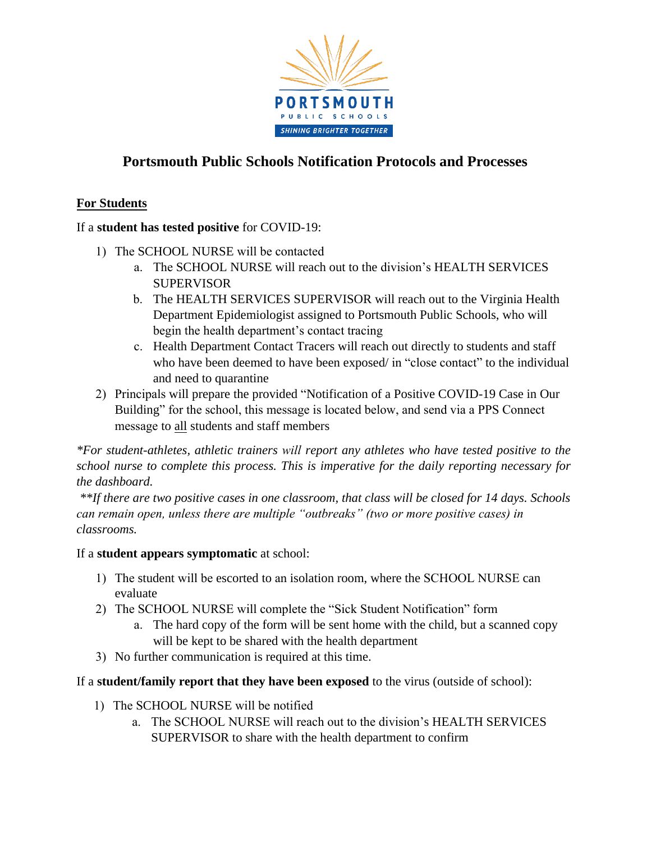

# **Portsmouth Public Schools Notification Protocols and Processes**

## **For Students**

## If a **student has tested positive** for COVID-19:

- 1) The SCHOOL NURSE will be contacted
	- a. The SCHOOL NURSE will reach out to the division's HEALTH SERVICES **SUPERVISOR**
	- b. The HEALTH SERVICES SUPERVISOR will reach out to the Virginia Health Department Epidemiologist assigned to Portsmouth Public Schools, who will begin the health department's contact tracing
	- c. Health Department Contact Tracers will reach out directly to students and staff who have been deemed to have been exposed/ in "close contact" to the individual and need to quarantine
- 2) Principals will prepare the provided "Notification of a Positive COVID-19 Case in Our Building" for the school, this message is located below, and send via a PPS Connect message to all students and staff members

*\*For student-athletes, athletic trainers will report any athletes who have tested positive to the school nurse to complete this process. This is imperative for the daily reporting necessary for the dashboard.*

*\*\*If there are two positive cases in one classroom, that class will be closed for 14 days. Schools can remain open, unless there are multiple "outbreaks" (two or more positive cases) in classrooms.*

#### If a **student appears symptomatic** at school:

- 1) The student will be escorted to an isolation room, where the SCHOOL NURSE can evaluate
- 2) The SCHOOL NURSE will complete the "Sick Student Notification" form
	- a. The hard copy of the form will be sent home with the child, but a scanned copy will be kept to be shared with the health department
- 3) No further communication is required at this time.

If a **student/family report that they have been exposed** to the virus (outside of school):

- 1) The SCHOOL NURSE will be notified
	- a. The SCHOOL NURSE will reach out to the division's HEALTH SERVICES SUPERVISOR to share with the health department to confirm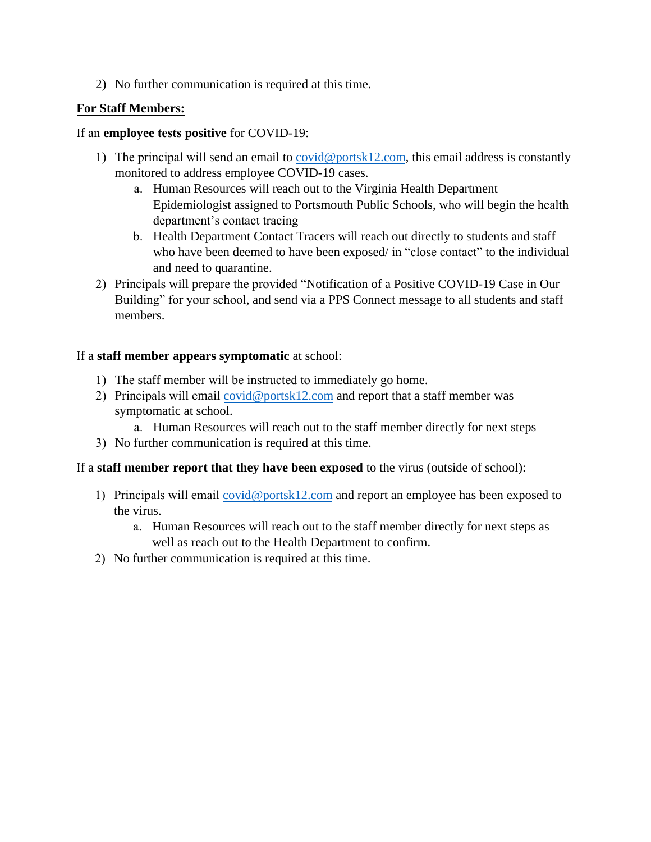2) No further communication is required at this time.

## **For Staff Members:**

#### If an **employee tests positive** for COVID-19:

- 1) The principal will send an email t[o covid@portsk12.com,](mailto:covid@portsk12.com) this email address is constantly monitored to address employee COVID-19 cases.
	- a. Human Resources will reach out to the Virginia Health Department Epidemiologist assigned to Portsmouth Public Schools, who will begin the health department's contact tracing
	- b. Health Department Contact Tracers will reach out directly to students and staff who have been deemed to have been exposed/ in "close contact" to the individual and need to quarantine.
- 2) Principals will prepare the provided "Notification of a Positive COVID-19 Case in Our Building" for your school, and send via a PPS Connect message to all students and staff members.

## If a **staff member appears symptomatic** at school:

- 1) The staff member will be instructed to immediately go home.
- 2) Principals will email [covid@portsk12.com](mailto:covid@portsk12.com) and report that a staff member was symptomatic at school.
	- a. Human Resources will reach out to the staff member directly for next steps
- 3) No further communication is required at this time.

#### If a **staff member report that they have been exposed** to the virus (outside of school):

- 1) Principals will email [covid@portsk12.com](mailto:covid@portsk12.com) and report an employee has been exposed to the virus.
	- a. Human Resources will reach out to the staff member directly for next steps as well as reach out to the Health Department to confirm.
- 2) No further communication is required at this time.